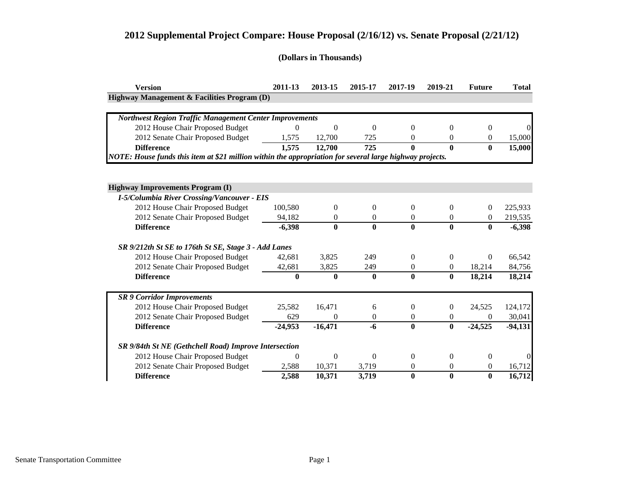| <b>Version</b>                                                                                           | 2011-13      | 2013-15        | 2015-17      | 2017-19        | 2019-21          | <b>Future</b> | <b>Total</b> |
|----------------------------------------------------------------------------------------------------------|--------------|----------------|--------------|----------------|------------------|---------------|--------------|
| Highway Management & Facilities Program (D)                                                              |              |                |              |                |                  |               |              |
|                                                                                                          |              |                |              |                |                  |               |              |
| <b>Northwest Region Traffic Management Center Improvements</b>                                           |              |                |              |                |                  |               |              |
| 2012 House Chair Proposed Budget                                                                         | $\Omega$     | $\overline{0}$ | $\Omega$     | $\theta$       | 0                | $\Omega$      |              |
| 2012 Senate Chair Proposed Budget                                                                        | 1,575        | 12,700         | 725          | $\Omega$       | 0                | $\Omega$      | 15,000       |
| <b>Difference</b>                                                                                        | 1,575        | 12,700         | 725          | $\bf{0}$       | $\mathbf{0}$     | $\mathbf{0}$  | 15,000       |
| NOTE: House funds this item at \$21 million within the appropriation for several large highway projects. |              |                |              |                |                  |               |              |
|                                                                                                          |              |                |              |                |                  |               |              |
| <b>Highway Improvements Program (I)</b>                                                                  |              |                |              |                |                  |               |              |
| <b>I-5/Columbia River Crossing/Vancouver - EIS</b>                                                       |              |                |              |                |                  |               |              |
| 2012 House Chair Proposed Budget                                                                         | 100,580      | $\theta$       | $\Omega$     | $\theta$       | $\theta$         | $\Omega$      | 225,933      |
| 2012 Senate Chair Proposed Budget                                                                        | 94,182       | $\theta$       | $\Omega$     | $\theta$       | $\theta$         | $\Omega$      | 219,535      |
| <b>Difference</b>                                                                                        | $-6,398$     | $\bf{0}$       | $\mathbf{0}$ | $\bf{0}$       | $\bf{0}$         | $\mathbf{0}$  | $-6,398$     |
| SR 9/212th St SE to 176th St SE, Stage 3 - Add Lanes                                                     |              |                |              |                |                  |               |              |
| 2012 House Chair Proposed Budget                                                                         | 42,681       | 3,825          | 249          | $\Omega$       | 0                | $\Omega$      | 66,542       |
| 2012 Senate Chair Proposed Budget                                                                        | 42,681       | 3,825          | 249          | $\mathbf{0}$   | $\overline{0}$   | 18,214        | 84,756       |
| <b>Difference</b>                                                                                        | $\mathbf{0}$ | $\bf{0}$       | $\mathbf{0}$ | $\bf{0}$       | $\bf{0}$         | 18,214        | 18,214       |
|                                                                                                          |              |                |              |                |                  |               |              |
| <b>SR 9 Corridor Improvements</b>                                                                        |              |                |              |                |                  |               |              |
| 2012 House Chair Proposed Budget                                                                         | 25,582       | 16,471         | 6            | $\overline{0}$ | $\boldsymbol{0}$ | 24,525        | 124,172      |
| 2012 Senate Chair Proposed Budget                                                                        | 629          | $\theta$       | $\Omega$     | $\theta$       | $\theta$         | $\Omega$      | 30,041       |
| <b>Difference</b>                                                                                        | $-24,953$    | $-16,471$      | $-6$         | $\bf{0}$       | $\bf{0}$         | $-24,525$     | $-94,131$    |
| SR 9/84th St NE (Gethchell Road) Improve Intersection                                                    |              |                |              |                |                  |               |              |
| 2012 House Chair Proposed Budget                                                                         | $\theta$     | 0              | $\Omega$     | $\Omega$       | 0                | $\Omega$      |              |
| 2012 Senate Chair Proposed Budget                                                                        | 2,588        | 10,371         | 3,719        | $\theta$       | $\theta$         | $\Omega$      | 16,712       |
| <b>Difference</b>                                                                                        | 2,588        | 10,371         | 3,719        | $\bf{0}$       | $\bf{0}$         | $\bf{0}$      | 16,712       |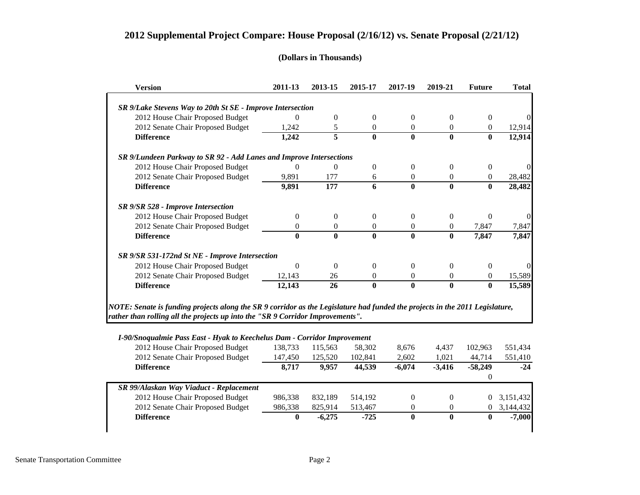#### **(Dollars in Thousands)**

| <b>Version</b>                                                      | 2011-13 | 2013-15        | 2015-17      | 2017-19      | 2019-21      | <b>Future</b> | <b>Total</b> |
|---------------------------------------------------------------------|---------|----------------|--------------|--------------|--------------|---------------|--------------|
| SR 9/Lake Stevens Way to 20th St SE - Improve Intersection          |         |                |              |              |              |               |              |
| 2012 House Chair Proposed Budget                                    | 0       | 0              | 0            | $\theta$     | 0            | 0             |              |
| 2012 Senate Chair Proposed Budget                                   | 1,242   | 5              | 0            | $\Omega$     | $\Omega$     | $\Omega$      | 12,914       |
| <b>Difference</b>                                                   | 1,242   | 5              | $\mathbf{0}$ | $\bf{0}$     | $\bf{0}$     | 0             | 12,914       |
| SR 9/Lundeen Parkway to SR 92 - Add Lanes and Improve Intersections |         |                |              |              |              |               |              |
| 2012 House Chair Proposed Budget                                    | 0       | $\overline{0}$ | $\Omega$     | $\Omega$     | $\Omega$     | 0             |              |
| 2012 Senate Chair Proposed Budget                                   | 9,891   | 177            | 6            | $\Omega$     | $\Omega$     | 0             | 28,482       |
| <b>Difference</b>                                                   | 9,891   | 177            | 6            | $\bf{0}$     | $\bf{0}$     | 0             | 28,482       |
| <b>SR 9/SR 528 - Improve Intersection</b>                           |         |                |              |              |              |               |              |
| 2012 House Chair Proposed Budget                                    | 0       | 0              | $\Omega$     | $\Omega$     | $\Omega$     | 0             |              |
| 2012 Senate Chair Proposed Budget                                   | 0       | 0              | $\Omega$     | $\Omega$     | $\theta$     | 7,847         | 7,847        |
| <b>Difference</b>                                                   | 0       | $\mathbf{0}$   | $\mathbf{0}$ | $\mathbf{0}$ | $\mathbf{0}$ | 7,847         | 7,847        |
| SR 9/SR 531-172nd St NE - Improve Intersection                      |         |                |              |              |              |               |              |
| 2012 House Chair Proposed Budget                                    | 0       | $\Omega$       | 0            | $\Omega$     | $\Omega$     | 0             |              |
| 2012 Senate Chair Proposed Budget                                   | 12,143  | 26             | 0            | $\Omega$     | $\Omega$     | $\Omega$      | 15,589       |
| <b>Difference</b>                                                   | 12,143  | 26             | $\mathbf{0}$ | $\bf{0}$     | $\bf{0}$     | $\bf{0}$      | 15,589       |

*rather than rolling all the projects up into the "SR 9 Corridor Improvements".*

#### *I-90/Snoqualmie Pass East - Hyak to Keechelus Dam - Corridor Improvement*

| 2012 House Chair Proposed Budget        | 138,733 | 115,563  | 58,302  | 8,676    | 4.437    | 102.963   | 551,434   |
|-----------------------------------------|---------|----------|---------|----------|----------|-----------|-----------|
| 2012 Senate Chair Proposed Budget       | 147,450 | 125,520  | 102,841 | 2,602    | 1.021    | 44,714    | 551,410   |
| <b>Difference</b>                       | 8.717   | 9.957    | 44,539  | $-6.074$ | $-3,416$ | $-58,249$ | $-24$     |
|                                         |         |          |         |          |          |           |           |
| SR 99/Alaskan Way Viaduct - Replacement |         |          |         |          |          |           |           |
| 2012 House Chair Proposed Budget        | 986,338 | 832,189  | 514,192 | $\Omega$ | $\Omega$ | 0         | 3,151,432 |
| 2012 Senate Chair Proposed Budget       | 986,338 | 825.914  | 513,467 | 0        | $\Omega$ | 0         | 3,144,432 |
| <b>Difference</b>                       | 0       | $-6,275$ | $-725$  | $\bf{0}$ | 0        | 0         | $-7,000$  |
|                                         |         |          |         |          |          |           |           |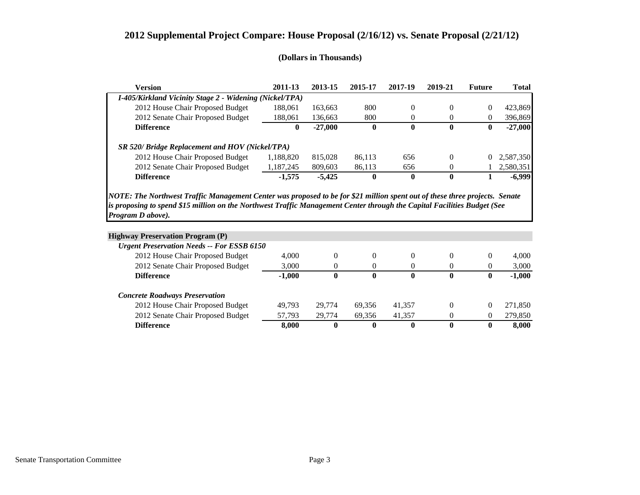| <b>Version</b>                                                                                                                                   | 2011-13      | 2013-15   | 2015-17      | 2017-19      | 2019-21          | <b>Future</b> | <b>Total</b> |
|--------------------------------------------------------------------------------------------------------------------------------------------------|--------------|-----------|--------------|--------------|------------------|---------------|--------------|
| I-405/Kirkland Vicinity Stage 2 - Widening (Nickel/TPA)                                                                                          |              |           |              |              |                  |               |              |
| 2012 House Chair Proposed Budget                                                                                                                 | 188,061      | 163,663   | 800          | $\theta$     | $\theta$         | 0             | 423,869      |
| 2012 Senate Chair Proposed Budget                                                                                                                | 188,061      | 136,663   | 800          | 0            | $\overline{0}$   | 0             | 396,869      |
| <b>Difference</b>                                                                                                                                | $\mathbf{0}$ | $-27,000$ | $\mathbf{0}$ | $\mathbf{0}$ | $\mathbf 0$      | $\mathbf{0}$  | $-27,000$    |
| SR 520/ Bridge Replacement and HOV (Nickel/TPA)                                                                                                  |              |           |              |              |                  |               |              |
|                                                                                                                                                  | 1,188,820    | 815,028   | 86,113       | 656          | $\Omega$         | 0             | 2,587,350    |
| 2012 House Chair Proposed Budget                                                                                                                 |              |           |              |              |                  |               | 2,580,351    |
| 2012 Senate Chair Proposed Budget                                                                                                                | 1,187,245    | 809,603   | 86,113       | 656          | $\theta$         |               |              |
| <b>Difference</b><br>NOTE: The Northwest Traffic Management Center was proposed to be for \$21 million spent out of these three projects. Senate | $-1,575$     | $-5,425$  | $\mathbf{0}$ | $\mathbf{0}$ | $\boldsymbol{0}$ |               |              |
| is proposing to spend \$15 million on the Northwest Traffic Management Center through the Capital Facilities Budget (See<br>Program D above).    |              |           |              |              |                  |               |              |
|                                                                                                                                                  |              |           |              |              |                  |               |              |
|                                                                                                                                                  |              |           |              |              |                  |               | $-6,999$     |
| <b>Highway Preservation Program (P)</b><br><b>Urgent Preservation Needs -- For ESSB 6150</b>                                                     | 4,000        | $\theta$  | $\Omega$     | 0            | $\Omega$         | $\Omega$      | 4,000        |
| 2012 House Chair Proposed Budget<br>2012 Senate Chair Proposed Budget                                                                            | 3,000        | 0         | $\Omega$     | 0            | $\Omega$         | 0             | 3,000        |

| Difference                        | 8.000  |        |        |        |  | 8.000   |
|-----------------------------------|--------|--------|--------|--------|--|---------|
| 2012 Senate Chair Proposed Budget | 57.793 | 29.774 | 69.356 | 41.357 |  | 279.850 |
| 2012 House Chair Proposed Budget  | 49.793 | 29.774 | 69.356 | 41.357 |  | 271.850 |
| oncrete Kodaways I reservation    |        |        |        |        |  |         |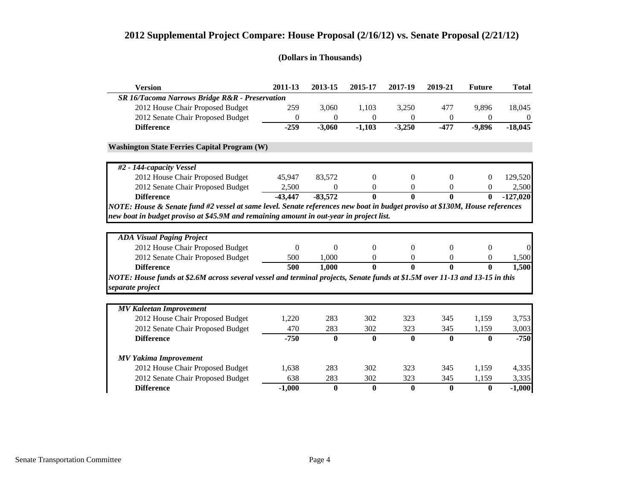| <b>Version</b>                                                                                                               | 2011-13          | 2013-15          | 2015-17  | 2017-19      | 2019-21        | <b>Future</b> | <b>Total</b> |
|------------------------------------------------------------------------------------------------------------------------------|------------------|------------------|----------|--------------|----------------|---------------|--------------|
| SR 16/Tacoma Narrows Bridge R&R - Preservation                                                                               |                  |                  |          |              |                |               |              |
| 2012 House Chair Proposed Budget                                                                                             | 259              | 3,060            | 1,103    | 3,250        | 477            | 9,896         | 18,045       |
| 2012 Senate Chair Proposed Budget                                                                                            | $\theta$         | $\theta$         | $\theta$ | $\Omega$     | $\mathbf{0}$   | $\Omega$      | $\theta$     |
| <b>Difference</b>                                                                                                            | $-259$           | $-3,060$         | $-1,103$ | $-3,250$     | $-477$         | $-9,896$      | $-18,045$    |
| <b>Washington State Ferries Capital Program (W)</b>                                                                          |                  |                  |          |              |                |               |              |
| #2 - 144-capacity Vessel                                                                                                     |                  |                  |          |              |                |               |              |
| 2012 House Chair Proposed Budget                                                                                             | 45,947           | 83,572           | $\Omega$ | $\Omega$     | $\theta$       | 0             | 129,520      |
| 2012 Senate Chair Proposed Budget                                                                                            | 2,500            | $\boldsymbol{0}$ | $\theta$ | $\theta$     | $\theta$       | 0             | 2,500        |
| <b>Difference</b>                                                                                                            | $-43,447$        | $-83,572$        | 0        | $\mathbf{0}$ | $\bf{0}$       | 0             | $-127,020$   |
| NOTE: House & Senate fund #2 vessel at same level. Senate references new boat in budget proviso at \$130M, House references  |                  |                  |          |              |                |               |              |
| new boat in budget proviso at \$45.9M and remaining amount in out-year in project list.                                      |                  |                  |          |              |                |               |              |
|                                                                                                                              |                  |                  |          |              |                |               |              |
| <b>ADA Visual Paging Project</b>                                                                                             |                  |                  |          |              |                |               |              |
| 2012 House Chair Proposed Budget                                                                                             | $\boldsymbol{0}$ | $\theta$         | $\Omega$ | $\theta$     | $\overline{0}$ | $\theta$      | $\Omega$     |
| 2012 Senate Chair Proposed Budget                                                                                            | 500              | 1,000            | 0        | $\theta$     | $\theta$       | $\theta$      | 1,500        |
| <b>Difference</b>                                                                                                            | 500              | 1,000            | 0        | $\mathbf{0}$ | $\theta$       | 0             | 1,500        |
| NOTE: House funds at \$2.6M across several vessel and terminal projects, Senate funds at \$1.5M over 11-13 and 13-15 in this |                  |                  |          |              |                |               |              |
| separate project                                                                                                             |                  |                  |          |              |                |               |              |
|                                                                                                                              |                  |                  |          |              |                |               |              |
| <b>MV Kaleetan Improvement</b>                                                                                               |                  |                  |          |              |                |               |              |
| 2012 House Chair Proposed Budget                                                                                             | 1,220            | 283              | 302      | 323          | 345            | 1,159         | 3,753        |
| 2012 Senate Chair Proposed Budget                                                                                            |                  |                  |          |              |                |               |              |
|                                                                                                                              | 470              | 283              | 302      | 323          | 345            | 1,159         | 3,003        |
| <b>Difference</b>                                                                                                            | $-750$           | $\bf{0}$         | $\bf{0}$ | $\mathbf{0}$ | $\mathbf{0}$   | $\mathbf{0}$  | $-750$       |
| <b>MV Yakima Improvement</b>                                                                                                 |                  |                  |          |              |                |               |              |
| 2012 House Chair Proposed Budget                                                                                             | 1,638            | 283              | 302      | 323          | 345            | 1,159         | 4,335        |
| 2012 Senate Chair Proposed Budget                                                                                            | 638              | 283              | 302      | 323          | 345            | 1,159         | 3,335        |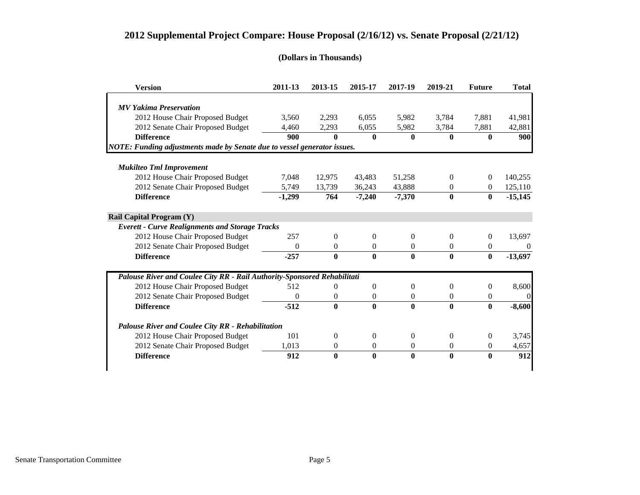| <b>Version</b>                                                           | 2011-13  | 2013-15          | 2015-17        | 2017-19        | 2019-21          | <b>Future</b>  | <b>Total</b> |
|--------------------------------------------------------------------------|----------|------------------|----------------|----------------|------------------|----------------|--------------|
|                                                                          |          |                  |                |                |                  |                |              |
| <b>MV Yakima Preservation</b>                                            |          |                  |                |                |                  |                |              |
| 2012 House Chair Proposed Budget                                         | 3,560    | 2,293            | 6,055          | 5,982          | 3,784            | 7.881          | 41,981       |
| 2012 Senate Chair Proposed Budget                                        | 4,460    | 2,293            | 6,055          | 5,982          | 3,784            | 7,881          | 42,881       |
| <b>Difference</b>                                                        | 900      | $\theta$         | $\mathbf{0}$   | $\mathbf{0}$   | $\mathbf{0}$     | 0              | 900          |
| NOTE: Funding adjustments made by Senate due to vessel generator issues. |          |                  |                |                |                  |                |              |
|                                                                          |          |                  |                |                |                  |                |              |
| <b>Mukilteo Tml Improvement</b>                                          |          |                  |                |                |                  |                |              |
| 2012 House Chair Proposed Budget                                         | 7,048    | 12,975           | 43,483         | 51,258         | $\overline{0}$   | $\Omega$       | 140,255      |
| 2012 Senate Chair Proposed Budget                                        | 5,749    | 13,739           | 36,243         | 43,888         | $\theta$         | $\Omega$       | 125,110      |
| <b>Difference</b>                                                        | $-1,299$ | 764              | $-7,240$       | $-7,370$       | $\mathbf{0}$     | $\bf{0}$       | $-15,145$    |
| <b>Rail Capital Program (Y)</b>                                          |          |                  |                |                |                  |                |              |
| <b>Everett - Curve Realignments and Storage Tracks</b>                   |          |                  |                |                |                  |                |              |
| 2012 House Chair Proposed Budget                                         | 257      | $\Omega$         | $\Omega$       | $\Omega$       | $\Omega$         | $\Omega$       | 13,697       |
| 2012 Senate Chair Proposed Budget                                        | $\Omega$ | $\Omega$         | $\Omega$       | $\theta$       | $\Omega$         | $\Omega$       | $\theta$     |
| <b>Difference</b>                                                        | $-257$   | $\bf{0}$         | $\mathbf{0}$   | $\mathbf{0}$   | $\mathbf{0}$     | $\mathbf{0}$   | $-13,697$    |
| Palouse River and Coulee City RR - Rail Authority-Sponsored Rehabilitati |          |                  |                |                |                  |                |              |
| 2012 House Chair Proposed Budget                                         | 512      | $\overline{0}$   | $\Omega$       | $\Omega$       | $\theta$         | $\overline{0}$ | 8,600        |
| 2012 Senate Chair Proposed Budget                                        | 0        | $\boldsymbol{0}$ | $\theta$       | $\overline{0}$ | $\overline{0}$   | 0              | $\Omega$     |
| <b>Difference</b>                                                        | $-512$   | $\mathbf{0}$     | $\mathbf{0}$   | $\mathbf{0}$   | $\mathbf{0}$     | 0              | $-8,600$     |
| Palouse River and Coulee City RR - Rehabilitation                        |          |                  |                |                |                  |                |              |
| 2012 House Chair Proposed Budget                                         | 101      | $\boldsymbol{0}$ | $\Omega$       | $\theta$       | $\boldsymbol{0}$ | $\overline{0}$ | 3,745        |
| 2012 Senate Chair Proposed Budget                                        | 1,013    | $\theta$         | $\overline{0}$ | 0              | $\overline{0}$   | 0              | 4,657        |
| <b>Difference</b>                                                        | 912      | $\mathbf{0}$     | $\mathbf{0}$   | $\mathbf{0}$   | 0                | 0              | 912          |
|                                                                          |          |                  |                |                |                  |                |              |